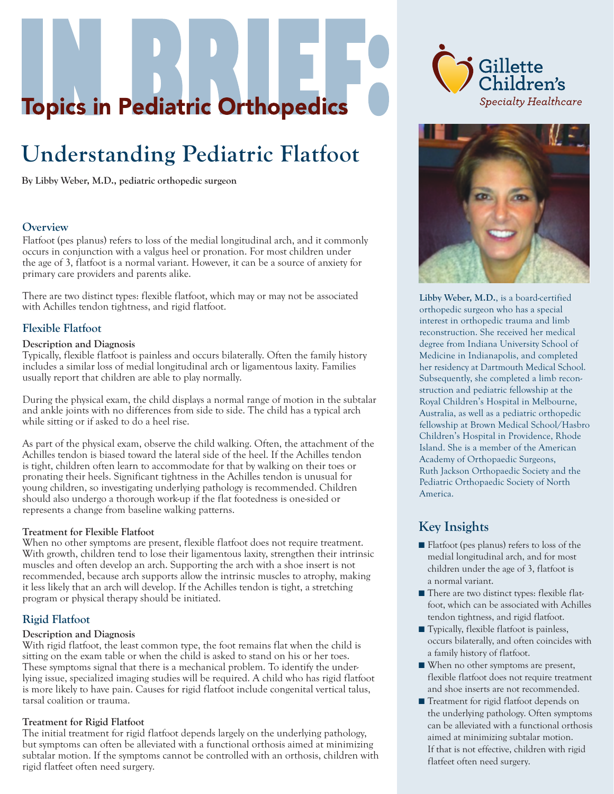# **Topics in Pediatric Orthopedics**

# **Understanding Pediatric Flatfoot**

**By Libby Weber, M.D., pediatric orthopedic surgeon**

#### **Overview**

Flatfoot (pes planus) refers to loss of the medial longitudinal arch, and it commonly occurs in conjunction with a valgus heel or pronation. For most children under the age of 3, flatfoot is a normal variant. However, it can be a source of anxiety for primary care providers and parents alike.

There are two distinct types: flexible flatfoot, which may or may not be associated with Achilles tendon tightness, and rigid flatfoot.

#### **Flexible Flatfoot**

#### **Description and Diagnosis**

Typically, flexible flatfoot is painless and occurs bilaterally. Often the family history includes a similar loss of medial longitudinal arch or ligamentous laxity. Families usually report that children are able to play normally.

During the physical exam, the child displays a normal range of motion in the subtalar and ankle joints with no differences from side to side. The child has a typical arch while sitting or if asked to do a heel rise.

As part of the physical exam, observe the child walking. Often, the attachment of the Achilles tendon is biased toward the lateral side of the heel. If the Achilles tendon is tight, children often learn to accommodate for that by walking on their toes or pronating their heels. Significant tightness in the Achilles tendon is unusual for young children, so investigating underlying pathology is recommended. Children should also undergo a thorough work-up if the flat footedness is one-sided or represents a change from baseline walking patterns.

#### **Treatment for Flexible Flatfoot**

When no other symptoms are present, flexible flatfoot does not require treatment. With growth, children tend to lose their ligamentous laxity, strengthen their intrinsic muscles and often develop an arch. Supporting the arch with a shoe insert is not recommended, because arch supports allow the intrinsic muscles to atrophy, making it less likely that an arch will develop. If the Achilles tendon is tight, a stretching program or physical therapy should be initiated.

#### **Rigid Flatfoot**

#### **Description and Diagnosis**

With rigid flatfoot, the least common type, the foot remains flat when the child is sitting on the exam table or when the child is asked to stand on his or her toes. These symptoms signal that there is a mechanical problem. To identify the underlying issue, specialized imaging studies will be required. A child who has rigid flatfoot is more likely to have pain. Causes for rigid flatfoot include congenital vertical talus, tarsal coalition or trauma.

#### **Treatment for Rigid Flatfoot**

The initial treatment for rigid flatfoot depends largely on the underlying pathology, but symptoms can often be alleviated with a functional orthosis aimed at minimizing subtalar motion. If the symptoms cannot be controlled with an orthosis, children with rigid flatfeet often need surgery.





**Libby Weber, M.D.**, is a board-certified orthopedic surgeon who has a special interest in orthopedic trauma and limb reconstruction. She received her medical degree from Indiana University School of Medicine in Indianapolis, and completed her residency at Dartmouth Medical School. Subsequently, she completed a limb reconstruction and pediatric fellowship at the Royal Children's Hospital in Melbourne, Australia, as well as a pediatric orthopedic fellowship at Brown Medical School/Hasbro Children's Hospital in Providence, Rhode Island. She is a member of the American Academy of Orthopaedic Surgeons, Ruth Jackson Orthopaedic Society and the Pediatric Orthopaedic Society of North America.

### **Key Insights**

- Flatfoot (pes planus) refers to loss of the medial longitudinal arch, and for most children under the age of 3, flatfoot is a normal variant.
- There are two distinct types: flexible flatfoot, which can be associated with Achilles tendon tightness, and rigid flatfoot.
- Typically, flexible flatfoot is painless, occurs bilaterally, and often coincides with a family history of flatfoot.
- When no other symptoms are present, flexible flatfoot does not require treatment and shoe inserts are not recommended.
- Treatment for rigid flatfoot depends on the underlying pathology. Often symptoms can be alleviated with a functional orthosis aimed at minimizing subtalar motion. If that is not effective, children with rigid flatfeet often need surgery.